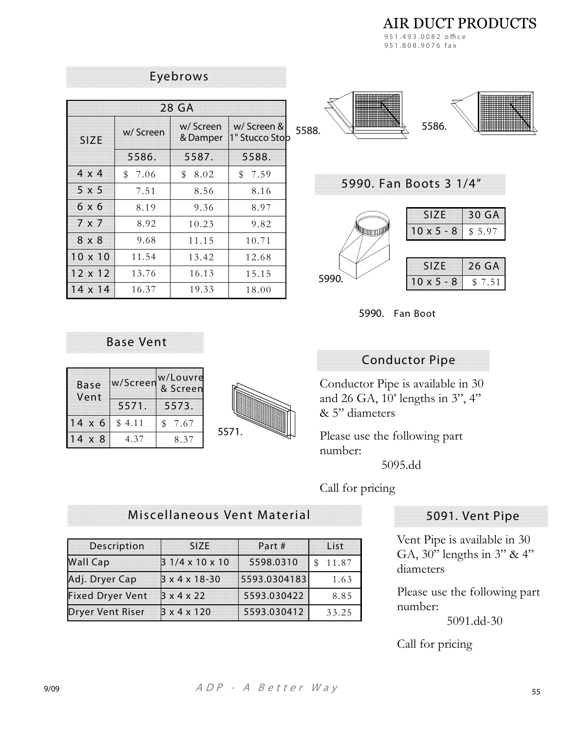**AIR DUCT PRODUCTS** 951.493.0082 office

951.808.9076 fax

| 28 GA          |            |                      |                               |  |
|----------------|------------|----------------------|-------------------------------|--|
| <b>SIZE</b>    | w/Screen   | w/Screen<br>& Damper | w/ Screen &<br>1" Stucco Stob |  |
|                | 5586.      | 5587.                | 5588.                         |  |
| $4 \times 4$   | 7.06<br>\$ | \$<br>8.02           | \$<br>7.59                    |  |
| $5 \times 5$   | 7.51       | 8.56                 | 8.16                          |  |
| 6 x 6          | 8.19       | 9.36                 | 8.97                          |  |
| $7 \times 7$   | 8.92       | 10.23                | 9.82                          |  |
| 8 x 8          | 9.68       | 11.15                | 10.71                         |  |
| $10 \times 10$ | 11.54      | 13.42                | 12.68                         |  |
| $12 \times 12$ | 13.76      | 16.13                | 15.15                         |  |
| $14 \times 14$ | 16.37      | 19.33                | 18.00                         |  |

Eyebrows







#### **Base Vent**

| <b>Base</b><br>Vent |        | w/Louvre<br>w/Screen & Screen |
|---------------------|--------|-------------------------------|
|                     | 5571.  | 5573.                         |
| $14 \times 6$       | \$4.11 | 7.67                          |
| $14 \times 8$       | 437    | 837                           |



### **Conductor Pipe**

Conductor Pipe is available in 30 and 26 GA,  $10'$  lengths in 3", 4" & 5" diameters

Please use the following part number:

5095.dd

Call for pricing

# Miscellaneous Vent Material

| Description             | <b>SIZE</b>                 | Part#        | List  |
|-------------------------|-----------------------------|--------------|-------|
| <b>Wall Cap</b>         | $31/4 \times 10 \times 10$  | 5598.0310    | 11.87 |
| Adj. Dryer Cap          | $3 \times 4 \times 18 - 30$ | 5593.0304183 | 1.63  |
| <b>Fixed Dryer Vent</b> | 3x4x22                      | 5593.030422  | 8.85  |
| <b>Dryer Vent Riser</b> | 3x4x120                     | 5593.030412  | 33.25 |

#### 5091. Vent Pipe

Vent Pipe is available in 30 GA, 30" lengths in 3" & 4" diameters

Please use the following part number:

 $5091$ .dd-30

Call for pricing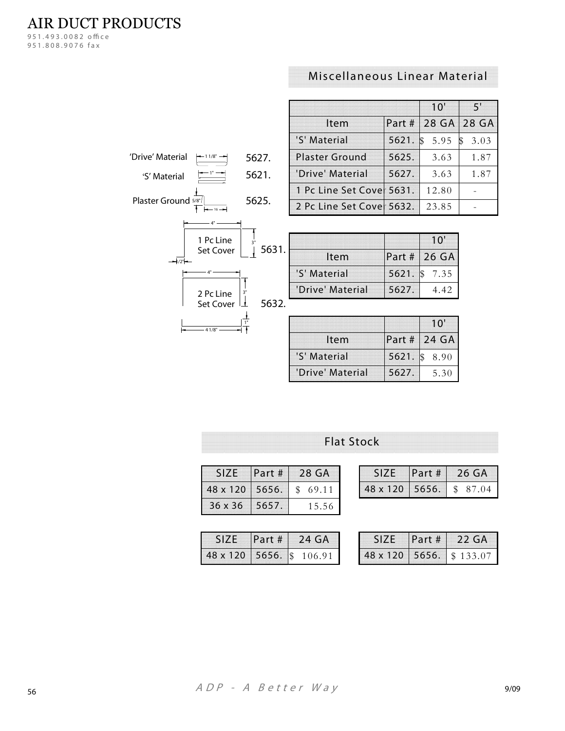AIR DUCT PRODUCTS

*951. 493 . 0082 o ! c e 951. 808 . 9076 f a x*

# **Miscellaneous Linear Material**

|                                  |       |                           |        | 10'       | 5'        |
|----------------------------------|-------|---------------------------|--------|-----------|-----------|
|                                  |       | Item                      | Part # | 28 GA     | 28 GA     |
|                                  |       | 'S' Material              | 5621.  | 5.95<br>S | 3.03<br>S |
| 'Drive' Material<br>$-11/8"$ $-$ | 5627. | <b>Plaster Ground</b>     | 5625.  | 3.63      | 1.87      |
| 'S' Material                     | 5621. | 'Drive' Material          | 5627.  | 3.63      | 1.87      |
|                                  |       | 1 Pc Line Set Covel 5631. |        | 12.80     |           |
| Plaster Ground 5/8"/             | 5625. | 2 Pc Line Set Covel 5632. |        | 23.85     |           |
|                                  |       |                           |        |           |           |
| 1 Pc Line                        |       |                           |        | 10'       |           |
| Set Cover                        | 5631. | Item                      | Part#  | 26 GA     |           |
|                                  |       | IC' Matarial              | 5671   | 25<br>7   |           |

| $-16 \rightarrow$                   |       |
|-------------------------------------|-------|
| 1 Pc Line<br>3"<br>Set Cover        | 5631. |
| 3'<br>2 Pc Line<br><b>Set Cover</b> | 5632. |
| 1/8"                                |       |

| Item             |       | Part # 26 GA  |
|------------------|-------|---------------|
| 'S' Material     |       | 5621. \$ 7.35 |
| 'Drive' Material | 5627. | 4.42          |
|                  |       |               |
|                  |       | 10'           |

|                  |       | ТU           |
|------------------|-------|--------------|
| <b>Item</b>      |       | Part # 24 GA |
| 'S' Material     | 5621. | 8.90         |
| 'Drive' Material | 5627. | 5.30         |

**Flat Stock**

| <b>SIZE</b>    | Part # | 28 GA                  |
|----------------|--------|------------------------|
| 48 x 120 5656. |        | $\mathcal{R}$<br>69.11 |
| 36 x 36        | 15657. | 15.56                  |

|  | <b>Part # 24 GA</b>     |
|--|-------------------------|
|  | 48 x 120 5656. \$106.91 |

|                | Part # | 126GA                  |
|----------------|--------|------------------------|
| 48 x 120 5656. |        | 87.04<br>$\mathcal{L}$ |

| SIZE.                   | Part # | $22 \text{ G}$ A |
|-------------------------|--------|------------------|
| 48 x 120 5656. \$133.07 |        |                  |